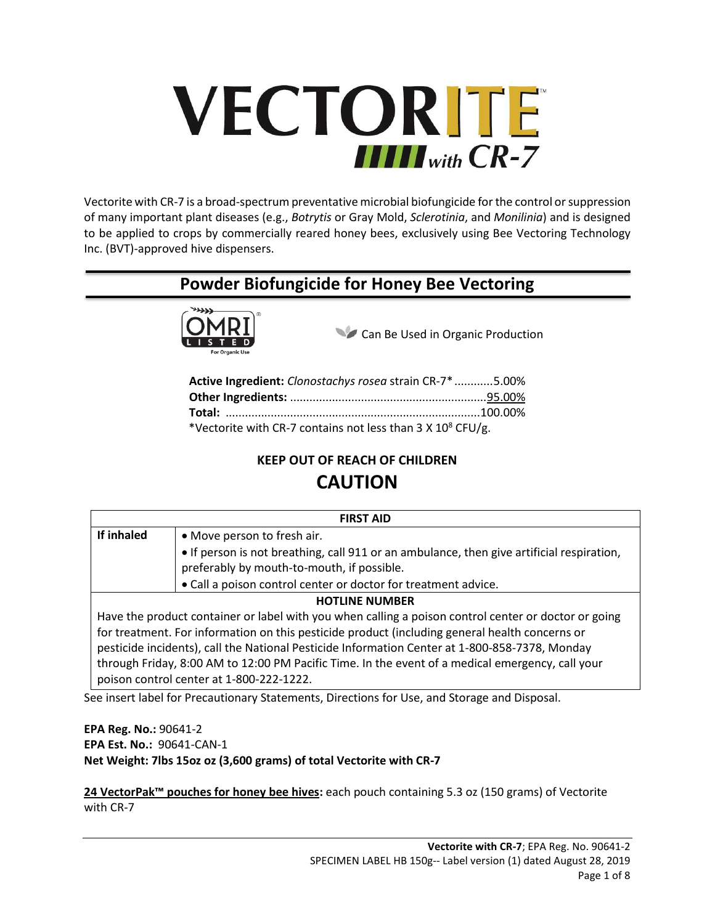# VECTORITE  $\prod \prod_{with} CR$ -7

Vectorite with CR-7 is a broad-spectrum preventative microbial biofungicide for the control or suppression of many important plant diseases (e.g., *Botrytis* or Gray Mold, *Sclerotinia*, and *Monilinia*) and is designed to be applied to crops by commercially reared honey bees, exclusively using Bee Vectoring Technology Inc. (BVT)-approved hive dispensers.

# **Powder Biofungicide for Honey Bee Vectoring**



Can Be Used in Organic Production

| Active Ingredient: Clonostachys rosea strain CR-7* 5.00%      |  |
|---------------------------------------------------------------|--|
|                                                               |  |
|                                                               |  |
| *Vectorite with CR-7 contains not less than 3 X $10^8$ CFU/g. |  |

## **KEEP OUT OF REACH OF CHILDREN**

# **CAUTION**

| <b>FIRST AID</b>                                                                                     |                                                                                           |  |  |  |
|------------------------------------------------------------------------------------------------------|-------------------------------------------------------------------------------------------|--|--|--|
| If inhaled                                                                                           | • Move person to fresh air.                                                               |  |  |  |
|                                                                                                      | • If person is not breathing, call 911 or an ambulance, then give artificial respiration, |  |  |  |
|                                                                                                      | preferably by mouth-to-mouth, if possible.                                                |  |  |  |
|                                                                                                      | • Call a poison control center or doctor for treatment advice.                            |  |  |  |
| <b>HOTLINE NUMBER</b>                                                                                |                                                                                           |  |  |  |
| Have the product container or label with you when calling a poison control center or doctor or going |                                                                                           |  |  |  |
| for treatment. For information on this pesticide product (including general health concerns or       |                                                                                           |  |  |  |
| pesticide incidents), call the National Pesticide Information Center at 1-800-858-7378, Monday       |                                                                                           |  |  |  |
| through Friday, 8:00 AM to 12:00 PM Pacific Time. In the event of a medical emergency, call your     |                                                                                           |  |  |  |
| poison control center at 1-800-222-1222.                                                             |                                                                                           |  |  |  |

See insert label for Precautionary Statements, Directions for Use, and Storage and Disposal.

**EPA Reg. No.:** 90641-2 **EPA Est. No.:** 90641-CAN-1 **Net Weight: 7lbs 15oz oz (3,600 grams) of total Vectorite with CR-7**

**24 VectorPak™ pouches for honey bee hives:** each pouch containing 5.3 oz (150 grams) of Vectorite with CR-7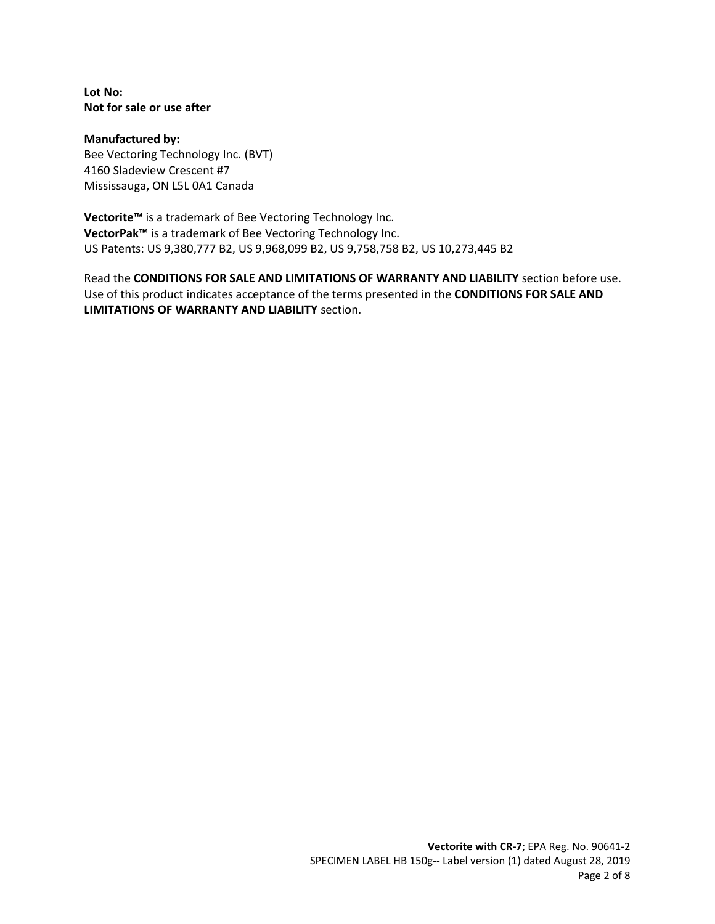**Lot No: Not for sale or use after**

**Manufactured by:** Bee Vectoring Technology Inc. (BVT) 4160 Sladeview Crescent #7 Mississauga, ON L5L 0A1 Canada

**Vectorite™** is a trademark of Bee Vectoring Technology Inc. **VectorPak™** is a trademark of Bee Vectoring Technology Inc. US Patents: US 9,380,777 B2, US 9,968,099 B2, US 9,758,758 B2, US 10,273,445 B2

Read the **CONDITIONS FOR SALE AND LIMITATIONS OF WARRANTY AND LIABILITY** section before use. Use of this product indicates acceptance of the terms presented in the **CONDITIONS FOR SALE AND LIMITATIONS OF WARRANTY AND LIABILITY** section.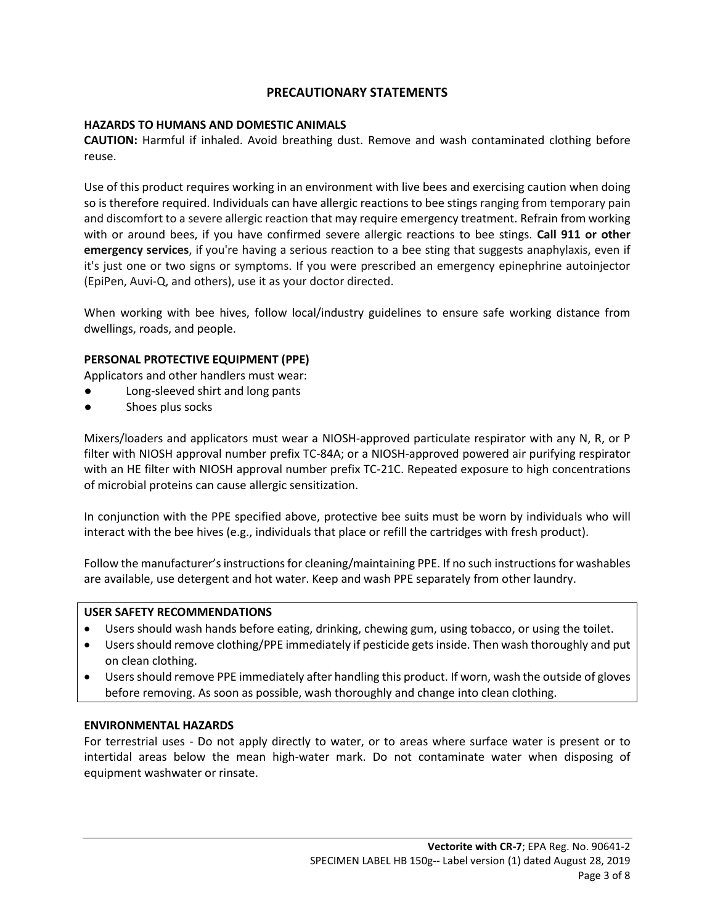#### **PRECAUTIONARY STATEMENTS**

#### **HAZARDS TO HUMANS AND DOMESTIC ANIMALS**

**CAUTION:** Harmful if inhaled. Avoid breathing dust. Remove and wash contaminated clothing before reuse.

Use of this product requires working in an environment with live bees and exercising caution when doing so is therefore required. Individuals can have allergic reactions to bee stings ranging from temporary pain and discomfort to a severe allergic reaction that may require emergency treatment. Refrain from working with or around bees, if you have confirmed severe allergic reactions to bee stings. **Call 911 or other emergency services**, if you're having a serious reaction to a bee sting that suggests anaphylaxis, even if it's just one or two signs or symptoms. If you were prescribed an emergency epinephrine autoinjector (EpiPen, Auvi-Q, and others), use it as your doctor directed.

When working with bee hives, follow local/industry guidelines to ensure safe working distance from dwellings, roads, and people.

#### **PERSONAL PROTECTIVE EQUIPMENT (PPE)**

Applicators and other handlers must wear:

- Long-sleeved shirt and long pants
- Shoes plus socks

Mixers/loaders and applicators must wear a NIOSH-approved particulate respirator with any N, R, or P filter with NIOSH approval number prefix TC-84A; or a NIOSH-approved powered air purifying respirator with an HE filter with NIOSH approval number prefix TC-21C. Repeated exposure to high concentrations of microbial proteins can cause allergic sensitization.

In conjunction with the PPE specified above, protective bee suits must be worn by individuals who will interact with the bee hives (e.g., individuals that place or refill the cartridges with fresh product).

Follow the manufacturer's instructions for cleaning/maintaining PPE. If no such instructions for washables are available, use detergent and hot water. Keep and wash PPE separately from other laundry.

#### **USER SAFETY RECOMMENDATIONS**

- Users should wash hands before eating, drinking, chewing gum, using tobacco, or using the toilet.
- Users should remove clothing/PPE immediately if pesticide gets inside. Then wash thoroughly and put on clean clothing.
- Users should remove PPE immediately after handling this product. If worn, wash the outside of gloves before removing. As soon as possible, wash thoroughly and change into clean clothing.

#### **ENVIRONMENTAL HAZARDS**

For terrestrial uses - Do not apply directly to water, or to areas where surface water is present or to intertidal areas below the mean high-water mark. Do not contaminate water when disposing of equipment washwater or rinsate.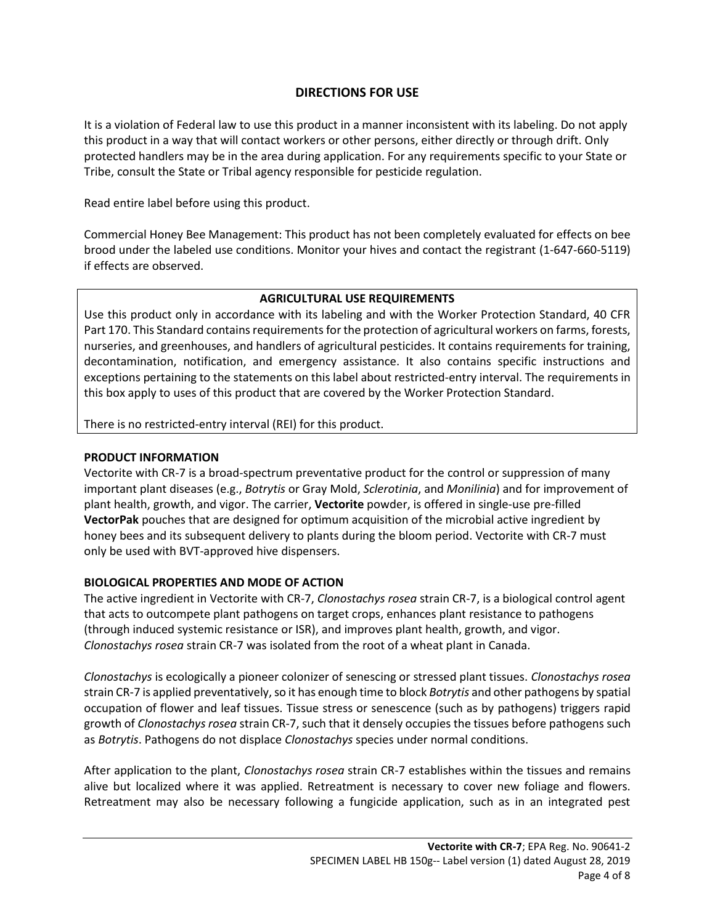## **DIRECTIONS FOR USE**

It is a violation of Federal law to use this product in a manner inconsistent with its labeling. Do not apply this product in a way that will contact workers or other persons, either directly or through drift. Only protected handlers may be in the area during application. For any requirements specific to your State or Tribe, consult the State or Tribal agency responsible for pesticide regulation.

Read entire label before using this product.

Commercial Honey Bee Management: This product has not been completely evaluated for effects on bee brood under the labeled use conditions. Monitor your hives and contact the registrant (1-647-660-5119) if effects are observed.

#### **AGRICULTURAL USE REQUIREMENTS**

Use this product only in accordance with its labeling and with the Worker Protection Standard, 40 CFR Part 170. This Standard contains requirements for the protection of agricultural workers on farms, forests, nurseries, and greenhouses, and handlers of agricultural pesticides. It contains requirements for training, decontamination, notification, and emergency assistance. It also contains specific instructions and exceptions pertaining to the statements on this label about restricted-entry interval. The requirements in this box apply to uses of this product that are covered by the Worker Protection Standard.

There is no restricted-entry interval (REI) for this product.

#### **PRODUCT INFORMATION**

Vectorite with CR-7 is a broad-spectrum preventative product for the control or suppression of many important plant diseases (e.g., *Botrytis* or Gray Mold, *Sclerotinia*, and *Monilinia*) and for improvement of plant health, growth, and vigor. The carrier, **Vectorite** powder, is offered in single-use pre-filled **VectorPak** pouches that are designed for optimum acquisition of the microbial active ingredient by honey bees and its subsequent delivery to plants during the bloom period. Vectorite with CR-7 must only be used with BVT-approved hive dispensers.

#### **BIOLOGICAL PROPERTIES AND MODE OF ACTION**

The active ingredient in Vectorite with CR-7, *Clonostachys rosea* strain CR-7, is a biological control agent that acts to outcompete plant pathogens on target crops, enhances plant resistance to pathogens (through induced systemic resistance or ISR), and improves plant health, growth, and vigor. *Clonostachys rosea* strain CR-7 was isolated from the root of a wheat plant in Canada.

*Clonostachys* is ecologically a pioneer colonizer of senescing or stressed plant tissues. *Clonostachys rosea* strain CR-7 is applied preventatively, so it has enough time to block *Botrytis* and other pathogens by spatial occupation of flower and leaf tissues. Tissue stress or senescence (such as by pathogens) triggers rapid growth of *Clonostachys rosea* strain CR-7, such that it densely occupies the tissues before pathogens such as *Botrytis*. Pathogens do not displace *Clonostachys* species under normal conditions.

After application to the plant, *Clonostachys rosea* strain CR-7 establishes within the tissues and remains alive but localized where it was applied. Retreatment is necessary to cover new foliage and flowers. Retreatment may also be necessary following a fungicide application, such as in an integrated pest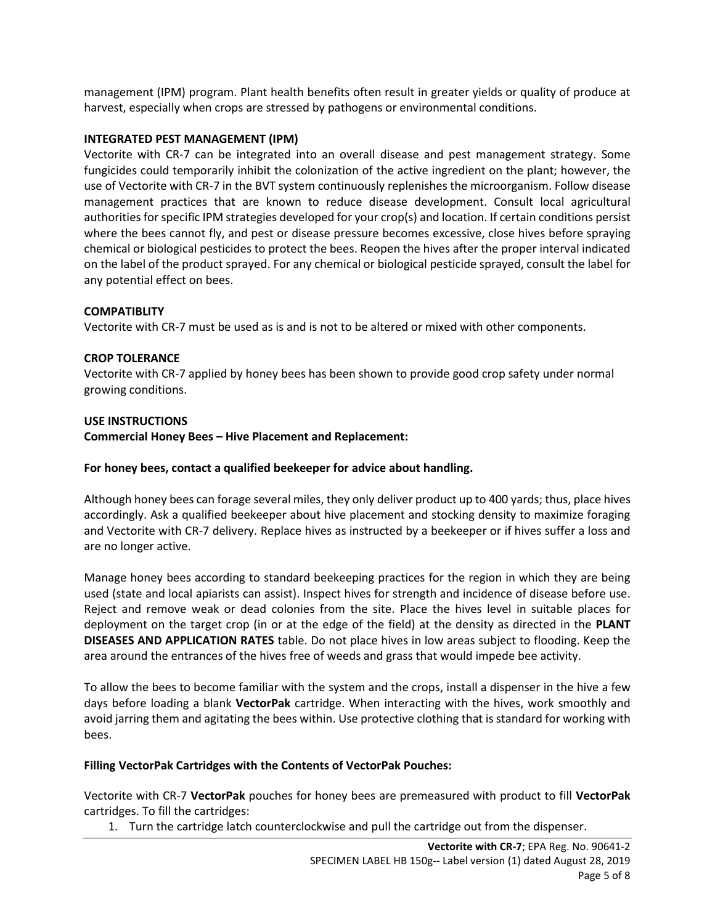management (IPM) program. Plant health benefits often result in greater yields or quality of produce at harvest, especially when crops are stressed by pathogens or environmental conditions.

#### **INTEGRATED PEST MANAGEMENT (IPM)**

Vectorite with CR-7 can be integrated into an overall disease and pest management strategy. Some fungicides could temporarily inhibit the colonization of the active ingredient on the plant; however, the use of Vectorite with CR-7 in the BVT system continuously replenishes the microorganism. Follow disease management practices that are known to reduce disease development. Consult local agricultural authorities for specific IPM strategies developed for your crop(s) and location. If certain conditions persist where the bees cannot fly, and pest or disease pressure becomes excessive, close hives before spraying chemical or biological pesticides to protect the bees. Reopen the hives after the proper interval indicated on the label of the product sprayed. For any chemical or biological pesticide sprayed, consult the label for any potential effect on bees.

#### **COMPATIBLITY**

Vectorite with CR-7 must be used as is and is not to be altered or mixed with other components.

#### **CROP TOLERANCE**

Vectorite with CR-7 applied by honey bees has been shown to provide good crop safety under normal growing conditions.

#### **USE INSTRUCTIONS**

**Commercial Honey Bees – Hive Placement and Replacement:**

#### **For honey bees, contact a qualified beekeeper for advice about handling.**

Although honey bees can forage several miles, they only deliver product up to 400 yards; thus, place hives accordingly. Ask a qualified beekeeper about hive placement and stocking density to maximize foraging and Vectorite with CR-7 delivery. Replace hives as instructed by a beekeeper or if hives suffer a loss and are no longer active.

Manage honey bees according to standard beekeeping practices for the region in which they are being used (state and local apiarists can assist). Inspect hives for strength and incidence of disease before use. Reject and remove weak or dead colonies from the site. Place the hives level in suitable places for deployment on the target crop (in or at the edge of the field) at the density as directed in the **PLANT DISEASES AND APPLICATION RATES** table. Do not place hives in low areas subject to flooding. Keep the area around the entrances of the hives free of weeds and grass that would impede bee activity.

To allow the bees to become familiar with the system and the crops, install a dispenser in the hive a few days before loading a blank **VectorPak** cartridge. When interacting with the hives, work smoothly and avoid jarring them and agitating the bees within. Use protective clothing that is standard for working with bees.

#### **Filling VectorPak Cartridges with the Contents of VectorPak Pouches:**

Vectorite with CR-7 **VectorPak** pouches for honey bees are premeasured with product to fill **VectorPak** cartridges. To fill the cartridges:

1. Turn the cartridge latch counterclockwise and pull the cartridge out from the dispenser.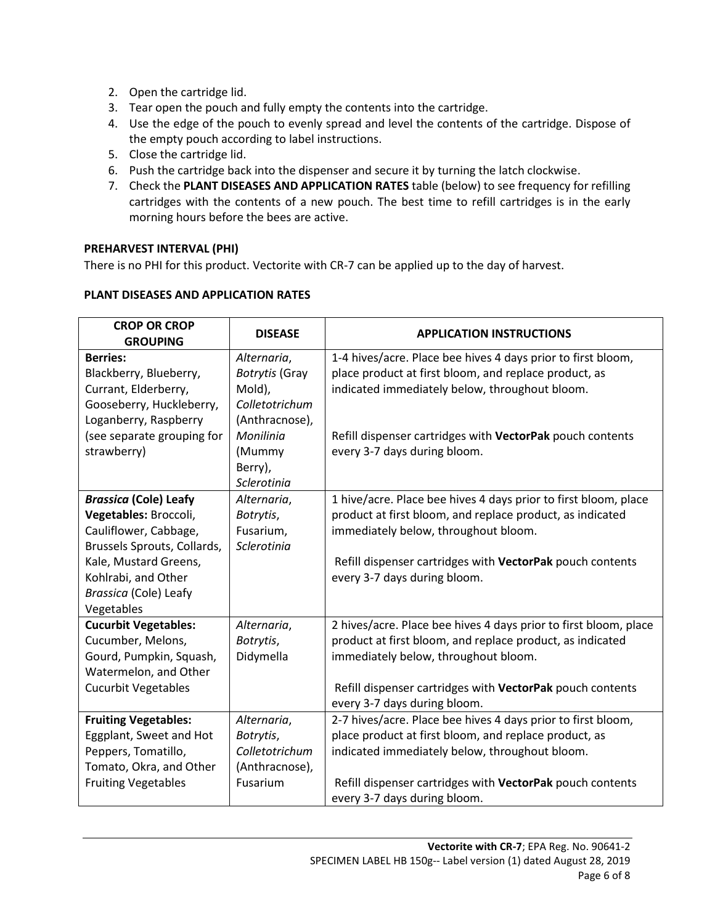- 2. Open the cartridge lid.
- 3. Tear open the pouch and fully empty the contents into the cartridge.
- 4. Use the edge of the pouch to evenly spread and level the contents of the cartridge. Dispose of the empty pouch according to label instructions.
- 5. Close the cartridge lid.
- 6. Push the cartridge back into the dispenser and secure it by turning the latch clockwise.
- 7. Check the **PLANT DISEASES AND APPLICATION RATES** table (below) to see frequency for refilling cartridges with the contents of a new pouch. The best time to refill cartridges is in the early morning hours before the bees are active.

#### **PREHARVEST INTERVAL (PHI)**

There is no PHI for this product. Vectorite with CR-7 can be applied up to the day of harvest.

| <b>CROP OR CROP</b> |                |  |
|---------------------|----------------|--|
| C <sub>0</sub>      | <b>DISEASE</b> |  |

**PLANT DISEASES AND APPLICATION RATES**

| <b>CROP OR CROP</b><br><b>GROUPING</b> | <b>DISEASE</b>        | <b>APPLICATION INSTRUCTIONS</b>                                  |
|----------------------------------------|-----------------------|------------------------------------------------------------------|
| <b>Berries:</b>                        | Alternaria,           | 1-4 hives/acre. Place bee hives 4 days prior to first bloom,     |
| Blackberry, Blueberry,                 | <b>Botrytis</b> (Gray | place product at first bloom, and replace product, as            |
| Currant, Elderberry,                   | Mold),                | indicated immediately below, throughout bloom.                   |
| Gooseberry, Huckleberry,               | Colletotrichum        |                                                                  |
| Loganberry, Raspberry                  | (Anthracnose),        |                                                                  |
| (see separate grouping for             | Monilinia             | Refill dispenser cartridges with VectorPak pouch contents        |
| strawberry)                            | (Mummy                | every 3-7 days during bloom.                                     |
|                                        | Berry),               |                                                                  |
|                                        | Sclerotinia           |                                                                  |
| <b>Brassica (Cole) Leafy</b>           | Alternaria,           | 1 hive/acre. Place bee hives 4 days prior to first bloom, place  |
| Vegetables: Broccoli,                  | Botrytis,             | product at first bloom, and replace product, as indicated        |
| Cauliflower, Cabbage,                  | Fusarium,             | immediately below, throughout bloom.                             |
| Brussels Sprouts, Collards,            | Sclerotinia           |                                                                  |
| Kale, Mustard Greens,                  |                       | Refill dispenser cartridges with VectorPak pouch contents        |
| Kohlrabi, and Other                    |                       | every 3-7 days during bloom.                                     |
| Brassica (Cole) Leafy                  |                       |                                                                  |
| Vegetables                             |                       |                                                                  |
| <b>Cucurbit Vegetables:</b>            | Alternaria,           | 2 hives/acre. Place bee hives 4 days prior to first bloom, place |
| Cucumber, Melons,                      | Botrytis,             | product at first bloom, and replace product, as indicated        |
| Gourd, Pumpkin, Squash,                | Didymella             | immediately below, throughout bloom.                             |
| Watermelon, and Other                  |                       |                                                                  |
| <b>Cucurbit Vegetables</b>             |                       | Refill dispenser cartridges with VectorPak pouch contents        |
|                                        |                       | every 3-7 days during bloom.                                     |
| <b>Fruiting Vegetables:</b>            | Alternaria,           | 2-7 hives/acre. Place bee hives 4 days prior to first bloom,     |
| Eggplant, Sweet and Hot                | Botrytis,             | place product at first bloom, and replace product, as            |
| Peppers, Tomatillo,                    | Colletotrichum        | indicated immediately below, throughout bloom.                   |
| Tomato, Okra, and Other                | (Anthracnose),        |                                                                  |
| <b>Fruiting Vegetables</b>             | Fusarium              | Refill dispenser cartridges with VectorPak pouch contents        |
|                                        |                       | every 3-7 days during bloom.                                     |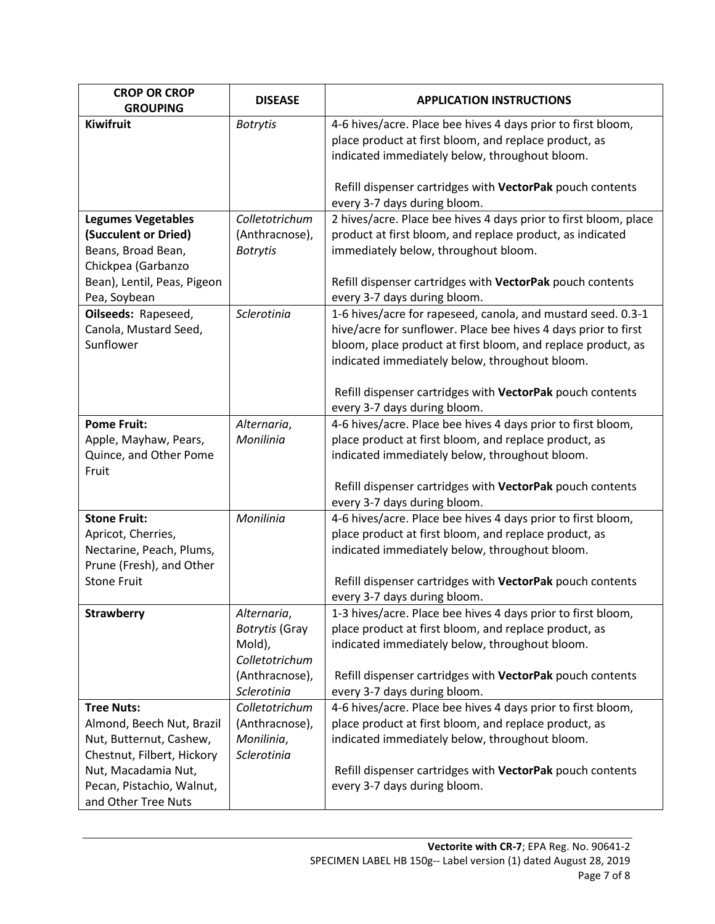| <b>CROP OR CROP</b><br><b>GROUPING</b>                                                        | <b>DISEASE</b>                                                                                    | <b>APPLICATION INSTRUCTIONS</b>                                                                                                                                                                                                                                                                               |
|-----------------------------------------------------------------------------------------------|---------------------------------------------------------------------------------------------------|---------------------------------------------------------------------------------------------------------------------------------------------------------------------------------------------------------------------------------------------------------------------------------------------------------------|
| Kiwifruit                                                                                     | <b>Botrytis</b>                                                                                   | 4-6 hives/acre. Place bee hives 4 days prior to first bloom,<br>place product at first bloom, and replace product, as                                                                                                                                                                                         |
|                                                                                               |                                                                                                   | indicated immediately below, throughout bloom.                                                                                                                                                                                                                                                                |
|                                                                                               |                                                                                                   | Refill dispenser cartridges with VectorPak pouch contents<br>every 3-7 days during bloom.                                                                                                                                                                                                                     |
| <b>Legumes Vegetables</b><br>(Succulent or Dried)<br>Beans, Broad Bean,<br>Chickpea (Garbanzo | Colletotrichum<br>(Anthracnose),<br><b>Botrytis</b>                                               | 2 hives/acre. Place bee hives 4 days prior to first bloom, place<br>product at first bloom, and replace product, as indicated<br>immediately below, throughout bloom.                                                                                                                                         |
| Bean), Lentil, Peas, Pigeon<br>Pea, Soybean                                                   |                                                                                                   | Refill dispenser cartridges with VectorPak pouch contents<br>every 3-7 days during bloom.                                                                                                                                                                                                                     |
| Oilseeds: Rapeseed,<br>Canola, Mustard Seed,<br>Sunflower                                     | Sclerotinia                                                                                       | 1-6 hives/acre for rapeseed, canola, and mustard seed. 0.3-1<br>hive/acre for sunflower. Place bee hives 4 days prior to first<br>bloom, place product at first bloom, and replace product, as<br>indicated immediately below, throughout bloom.<br>Refill dispenser cartridges with VectorPak pouch contents |
|                                                                                               |                                                                                                   | every 3-7 days during bloom.                                                                                                                                                                                                                                                                                  |
| <b>Pome Fruit:</b><br>Apple, Mayhaw, Pears,<br>Quince, and Other Pome<br>Fruit                | Alternaria,<br>Monilinia                                                                          | 4-6 hives/acre. Place bee hives 4 days prior to first bloom,<br>place product at first bloom, and replace product, as<br>indicated immediately below, throughout bloom.<br>Refill dispenser cartridges with VectorPak pouch contents<br>every 3-7 days during bloom.                                          |
| <b>Stone Fruit:</b>                                                                           | Monilinia                                                                                         | 4-6 hives/acre. Place bee hives 4 days prior to first bloom,                                                                                                                                                                                                                                                  |
| Apricot, Cherries,<br>Nectarine, Peach, Plums,<br>Prune (Fresh), and Other                    |                                                                                                   | place product at first bloom, and replace product, as<br>indicated immediately below, throughout bloom.                                                                                                                                                                                                       |
| <b>Stone Fruit</b>                                                                            |                                                                                                   | Refill dispenser cartridges with VectorPak pouch contents<br>every 3-7 days during bloom.                                                                                                                                                                                                                     |
| <b>Strawberry</b>                                                                             | Alternaria,<br><b>Botrytis (Gray</b><br>Mold),<br>Colletotrichum<br>(Anthracnose),<br>Sclerotinia | 1-3 hives/acre. Place bee hives 4 days prior to first bloom,<br>place product at first bloom, and replace product, as<br>indicated immediately below, throughout bloom.<br>Refill dispenser cartridges with VectorPak pouch contents<br>every 3-7 days during bloom.                                          |
| <b>Tree Nuts:</b>                                                                             | Colletotrichum                                                                                    | 4-6 hives/acre. Place bee hives 4 days prior to first bloom,                                                                                                                                                                                                                                                  |
| Almond, Beech Nut, Brazil<br>Nut, Butternut, Cashew,<br>Chestnut, Filbert, Hickory            | (Anthracnose),<br>Monilinia,<br>Sclerotinia                                                       | place product at first bloom, and replace product, as<br>indicated immediately below, throughout bloom.                                                                                                                                                                                                       |
| Nut, Macadamia Nut,<br>Pecan, Pistachio, Walnut,<br>and Other Tree Nuts                       |                                                                                                   | Refill dispenser cartridges with VectorPak pouch contents<br>every 3-7 days during bloom.                                                                                                                                                                                                                     |